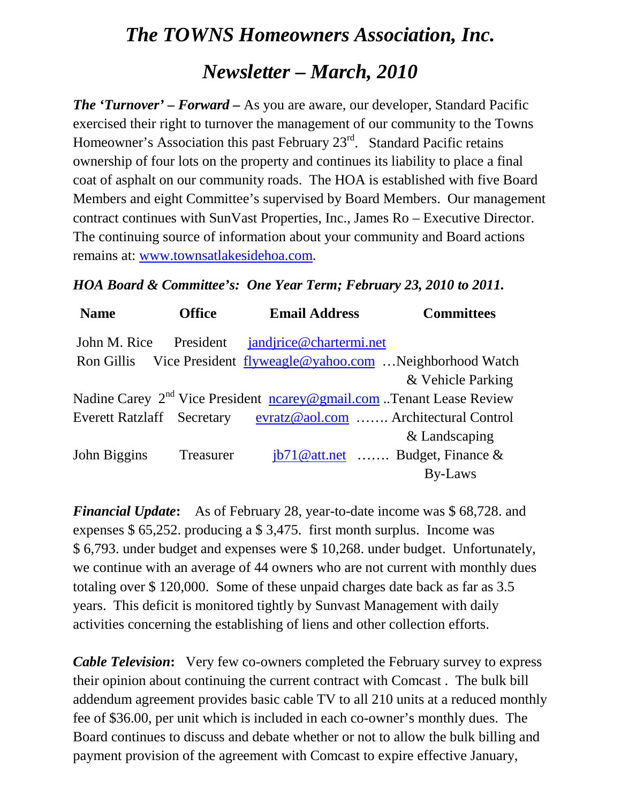## *The TOWNS Homeowners Association, Inc. Newsletter – March, 2010*

*The 'Turnover' – Forward –* As you are aware, our developer, Standard Pacific exercised their right to turnover the management of our community to the Towns Homeowner's Association this past February 23<sup>rd</sup>. Standard Pacific retains ownership of four lots on the property and continues its liability to place a final coat of asphalt on our community roads. The HOA is established with five Board Members and eight Committee's supervised by Board Members. Our management contract continues with SunVast Properties, Inc., James Ro – Executive Director. The continuing source of information about your community and Board actions remains at: [www.townsatlakesidehoa.com.](http://www.townsatlakesidehoa.com/)

## *HOA Board & Committee's: One Year Term; February 23, 2010 to 2011.*

| <b>Name</b>  | <b>Office</b> | <b>Email Address</b>                                                             | <b>Committees</b>                         |
|--------------|---------------|----------------------------------------------------------------------------------|-------------------------------------------|
| John M. Rice |               | President jandjrice@chartermi.net                                                |                                           |
| Ron Gillis   |               | Vice President flyweagle@yahoo.com  Neighborhood Watch                           |                                           |
|              |               |                                                                                  | & Vehicle Parking                         |
|              |               | Nadine Carey 2 <sup>nd</sup> Vice President nearey@gmail.com Tenant Lease Review |                                           |
|              |               | Everett Ratzlaff Secretary evratz@aol.com  Architectural Control                 |                                           |
|              |               |                                                                                  | & Landscaping                             |
| John Biggins | Treasurer     |                                                                                  | $\frac{1}{10}$ att.net  Budget, Finance & |
|              |               |                                                                                  | By-Laws                                   |

*Financial Update***:** As of February 28, year-to-date income was \$ 68,728. and expenses \$ 65,252. producing a \$ 3,475. first month surplus. Income was \$ 6,793. under budget and expenses were \$ 10,268. under budget. Unfortunately, we continue with an average of 44 owners who are not current with monthly dues totaling over \$ 120,000. Some of these unpaid charges date back as far as 3.5 years. This deficit is monitored tightly by Sunvast Management with daily activities concerning the establishing of liens and other collection efforts.

*Cable Television*: Very few co-owners completed the February survey to express their opinion about continuing the current contract with Comcast . The bulk bill addendum agreement provides basic cable TV to all 210 units at a reduced monthly fee of \$36.00, per unit which is included in each co-owner's monthly dues. The Board continues to discuss and debate whether or not to allow the bulk billing and payment provision of the agreement with Comcast to expire effective January,